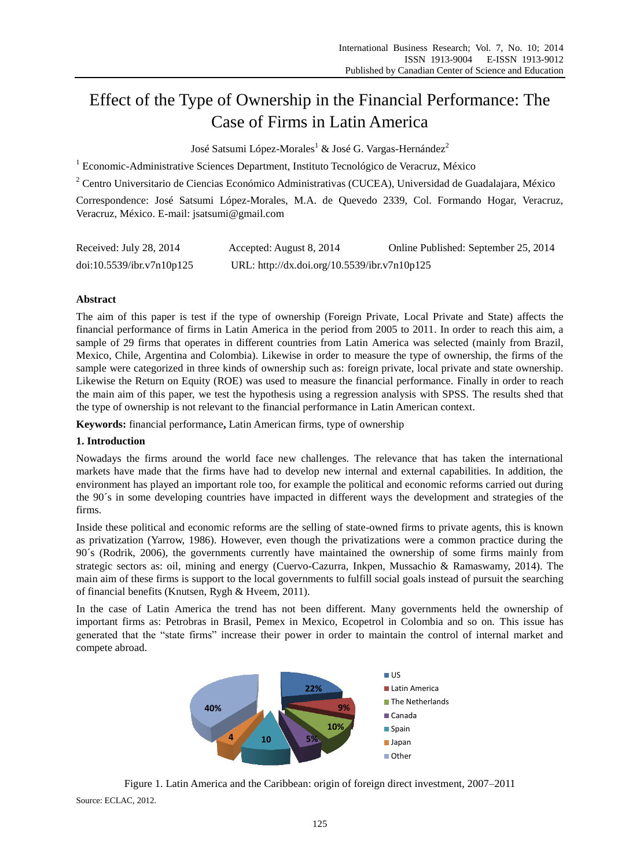# Effect of the Type of Ownership in the Financial Performance: The Case of Firms in Latin America

Jos é Satsumi López-Morales<sup>1</sup> & Jos é G. Vargas-Hernández<sup>2</sup>

<sup>1</sup> Economic-Administrative Sciences Department, Instituto Tecnológico de Veracruz, México

<sup>2</sup> Centro Universitario de Ciencias Económico Administrativas (CUCEA), Universidad de Guadalajara, México

Correspondence: José Satsumi López-Morales, M.A. de Quevedo 2339, Col. Formando Hogar, Veracruz, Veracruz, México. E-mail: jsatsumi@gmail.com

| Received: July 28, 2014   | Accepted: August 8, 2014                     | Online Published: September 25, 2014 |
|---------------------------|----------------------------------------------|--------------------------------------|
| doi:10.5539/ibr.v7n10p125 | URL: http://dx.doi.org/10.5539/ibr.v7n10p125 |                                      |

# **Abstract**

The aim of this paper is test if the type of ownership (Foreign Private, Local Private and State) affects the financial performance of firms in Latin America in the period from 2005 to 2011. In order to reach this aim, a sample of 29 firms that operates in different countries from Latin America was selected (mainly from Brazil, Mexico, Chile, Argentina and Colombia). Likewise in order to measure the type of ownership, the firms of the sample were categorized in three kinds of ownership such as: foreign private, local private and state ownership. Likewise the Return on Equity (ROE) was used to measure the financial performance. Finally in order to reach the main aim of this paper, we test the hypothesis using a regression analysis with SPSS. The results shed that the type of ownership is not relevant to the financial performance in Latin American context.

**Keywords:** financial performance**,** Latin American firms, type of ownership

# **1. Introduction**

Nowadays the firms around the world face new challenges. The relevance that has taken the international markets have made that the firms have had to develop new internal and external capabilities. In addition, the environment has played an important role too, for example the political and economic reforms carried out during the 90´s in some developing countries have impacted in different ways the development and strategies of the firms.

Inside these political and economic reforms are the selling of state-owned firms to private agents, this is known as privatization (Yarrow, 1986). However, even though the privatizations were a common practice during the 90´s (Rodrik, 2006), the governments currently have maintained the ownership of some firms mainly from strategic sectors as: oil, mining and energy (Cuervo-Cazurra, Inkpen, Mussachio & Ramaswamy, 2014). The main aim of these firms is support to the local governments to fulfill social goals instead of pursuit the searching of financial benefits (Knutsen, Rygh & Hveem, 2011).

In the case of Latin America the trend has not been different. Many governments held the ownership of important firms as: Petrobras in Brasil, Pemex in Mexico, Ecopetrol in Colombia and so on. This issue has generated that the "state firms" increase their power in order to maintain the control of internal market and compete abroad.



Figure 1. Latin America and the Caribbean: origin of foreign direct investment, 2007–2011 Source: ECLAC, 2012.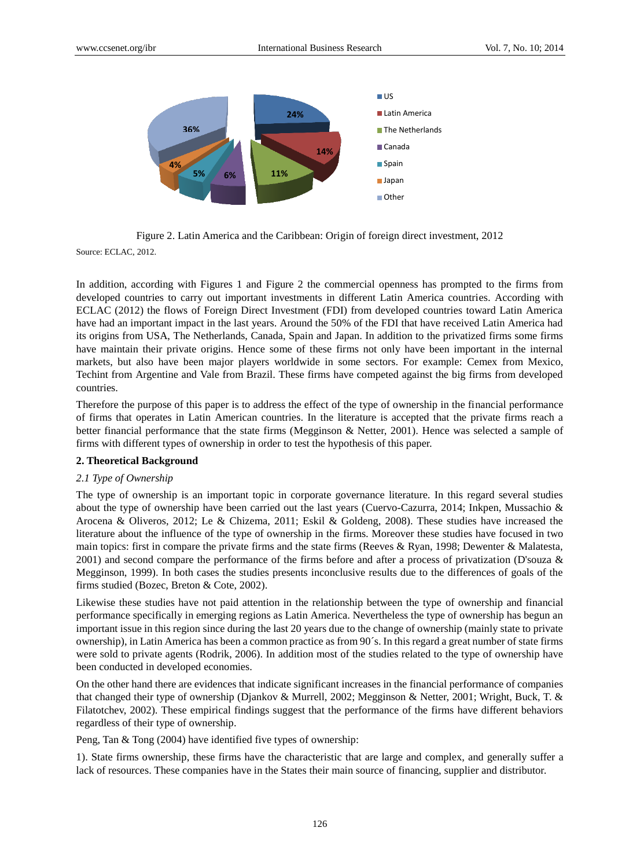

Figure 2. Latin America and the Caribbean: Origin of foreign direct investment, 2012

Source: ECLAC, 2012.

In addition, according with Figures 1 and Figure 2 the commercial openness has prompted to the firms from developed countries to carry out important investments in different Latin America countries. According with ECLAC (2012) the flows of Foreign Direct Investment (FDI) from developed countries toward Latin America have had an important impact in the last years. Around the 50% of the FDI that have received Latin America had its origins from USA, The Netherlands, Canada, Spain and Japan. In addition to the privatized firms some firms have maintain their private origins. Hence some of these firms not only have been important in the internal markets, but also have been major players worldwide in some sectors. For example: Cemex from Mexico, Techint from Argentine and Vale from Brazil. These firms have competed against the big firms from developed countries.

Therefore the purpose of this paper is to address the effect of the type of ownership in the financial performance of firms that operates in Latin American countries. In the literature is accepted that the private firms reach a better financial performance that the state firms (Megginson & Netter, 2001). Hence was selected a sample of firms with different types of ownership in order to test the hypothesis of this paper.

### **2. Theoretical Background**

#### *2.1 Type of Ownership*

The type of ownership is an important topic in corporate governance literature. In this regard several studies about the type of ownership have been carried out the last years (Cuervo-Cazurra, 2014; Inkpen, Mussachio & Arocena & Oliveros, 2012; Le & Chizema, 2011; Eskil & Goldeng, 2008). These studies have increased the literature about the influence of the type of ownership in the firms. Moreover these studies have focused in two main topics: first in compare the private firms and the state firms (Reeves & Ryan, 1998; Dewenter & Malatesta, 2001) and second compare the performance of the firms before and after a process of privatization (D'souza & Megginson, 1999). In both cases the studies presents inconclusive results due to the differences of goals of the firms studied (Bozec, Breton & Cote, 2002).

Likewise these studies have not paid attention in the relationship between the type of ownership and financial performance specifically in emerging regions as Latin America. Nevertheless the type of ownership has begun an important issue in this region since during the last 20 years due to the change of ownership (mainly state to private ownership), in Latin America has been a common practice as from 90´s. In this regard a great number of state firms were sold to private agents (Rodrik, 2006). In addition most of the studies related to the type of ownership have been conducted in developed economies.

On the other hand there are evidences that indicate significant increases in the financial performance of companies that changed their type of ownership (Djankov & Murrell, 2002; Megginson & Netter, 2001; Wright, Buck, T. & Filatotchev, 2002). These empirical findings suggest that the performance of the firms have different behaviors regardless of their type of ownership.

Peng, Tan & Tong (2004) have identified five types of ownership:

1). State firms ownership, these firms have the characteristic that are large and complex, and generally suffer a lack of resources. These companies have in the States their main source of financing, supplier and distributor.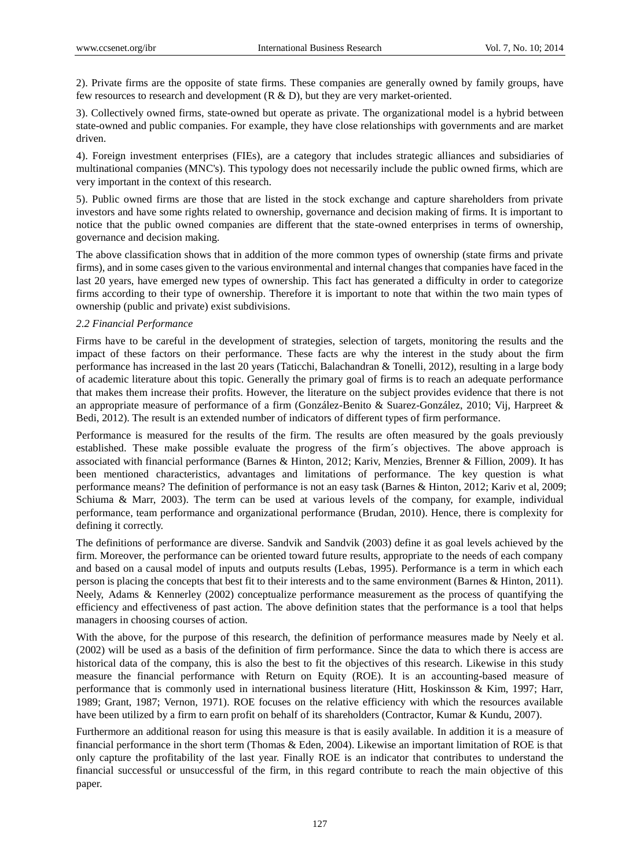2). Private firms are the opposite of state firms. These companies are generally owned by family groups, have few resources to research and development  $(R & D)$ , but they are very market-oriented.

3). Collectively owned firms, state-owned but operate as private. The organizational model is a hybrid between state-owned and public companies. For example, they have close relationships with governments and are market driven.

4). Foreign investment enterprises (FIEs), are a category that includes strategic alliances and subsidiaries of multinational companies (MNC's). This typology does not necessarily include the public owned firms, which are very important in the context of this research.

5). Public owned firms are those that are listed in the stock exchange and capture shareholders from private investors and have some rights related to ownership, governance and decision making of firms. It is important to notice that the public owned companies are different that the state-owned enterprises in terms of ownership, governance and decision making.

The above classification shows that in addition of the more common types of ownership (state firms and private firms), and in some cases given to the various environmental and internal changes that companies have faced in the last 20 years, have emerged new types of ownership. This fact has generated a difficulty in order to categorize firms according to their type of ownership. Therefore it is important to note that within the two main types of ownership (public and private) exist subdivisions.

#### *2.2 Financial Performance*

Firms have to be careful in the development of strategies, selection of targets, monitoring the results and the impact of these factors on their performance. These facts are why the interest in the study about the firm performance has increased in the last 20 years (Taticchi, Balachandran & Tonelli, 2012), resulting in a large body of academic literature about this topic. Generally the primary goal of firms is to reach an adequate performance that makes them increase their profits. However, the literature on the subject provides evidence that there is not an appropriate measure of performance of a firm (González-Benito & Suarez-González, 2010; Vij, Harpreet & Bedi, 2012). The result is an extended number of indicators of different types of firm performance.

Performance is measured for the results of the firm. The results are often measured by the goals previously established. These make possible evaluate the progress of the firm  $\acute{\text{s}}$  objectives. The above approach is associated with financial performance (Barnes & Hinton, 2012; Kariv, Menzies, Brenner & Fillion, 2009). It has been mentioned characteristics, advantages and limitations of performance. The key question is what performance means? The definition of performance is not an easy task (Barnes & Hinton, 2012; Kariv et al, 2009; Schiuma & Marr, 2003). The term can be used at various levels of the company, for example, individual performance, team performance and organizational performance (Brudan, 2010). Hence, there is complexity for defining it correctly.

The definitions of performance are diverse. Sandvik and Sandvik (2003) define it as goal levels achieved by the firm. Moreover, the performance can be oriented toward future results, appropriate to the needs of each company and based on a causal model of inputs and outputs results (Lebas, 1995). Performance is a term in which each person is placing the concepts that best fit to their interests and to the same environment (Barnes & Hinton, 2011). Neely, Adams & Kennerley (2002) conceptualize performance measurement as the process of quantifying the efficiency and effectiveness of past action. The above definition states that the performance is a tool that helps managers in choosing courses of action.

With the above, for the purpose of this research, the definition of performance measures made by Neely et al. (2002) will be used as a basis of the definition of firm performance. Since the data to which there is access are historical data of the company, this is also the best to fit the objectives of this research. Likewise in this study measure the financial performance with Return on Equity (ROE). It is an accounting-based measure of performance that is commonly used in international business literature (Hitt, Hoskinsson & Kim, 1997; Harr, 1989; Grant, 1987; Vernon, 1971). ROE focuses on the relative efficiency with which the resources available have been utilized by a firm to earn profit on behalf of its shareholders (Contractor, Kumar & Kundu, 2007).

Furthermore an additional reason for using this measure is that is easily available. In addition it is a measure of financial performance in the short term (Thomas & Eden, 2004). Likewise an important limitation of ROE is that only capture the profitability of the last year. Finally ROE is an indicator that contributes to understand the financial successful or unsuccessful of the firm, in this regard contribute to reach the main objective of this paper.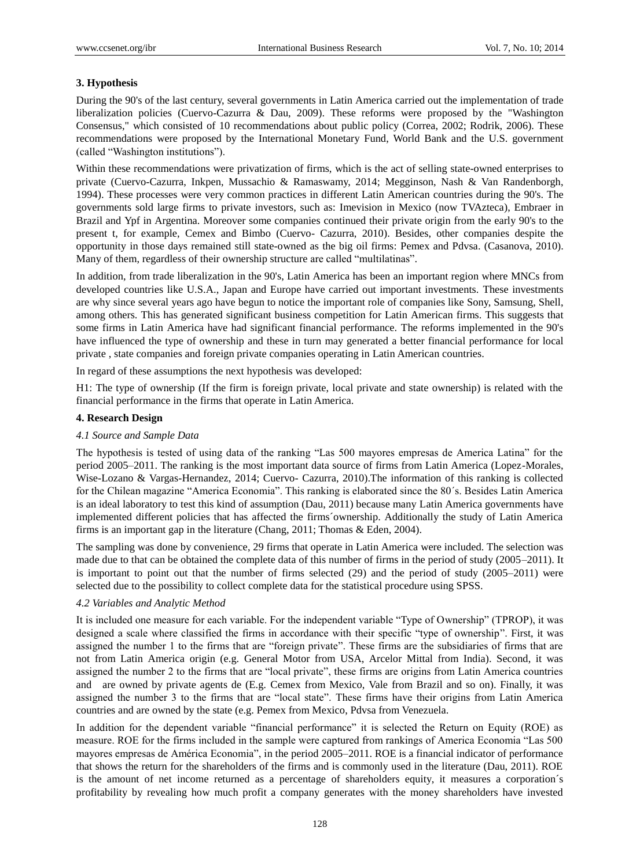# **3. Hypothesis**

During the 90's of the last century, several governments in Latin America carried out the implementation of trade liberalization policies (Cuervo-Cazurra & Dau, 2009). These reforms were proposed by the "Washington Consensus," which consisted of 10 recommendations about public policy (Correa, 2002; Rodrik, 2006). These recommendations were proposed by the International Monetary Fund, World Bank and the U.S. government (called "Washington institutions").

Within these recommendations were privatization of firms, which is the act of selling state-owned enterprises to private (Cuervo-Cazurra, Inkpen, Mussachio & Ramaswamy, 2014; Megginson, Nash & Van Randenborgh, 1994). These processes were very common practices in different Latin American countries during the 90's. The governments sold large firms to private investors, such as: Imevision in Mexico (now TVAzteca), Embraer in Brazil and Ypf in Argentina. Moreover some companies continued their private origin from the early 90's to the present t, for example, Cemex and Bimbo (Cuervo- Cazurra, 2010). Besides, other companies despite the opportunity in those days remained still state-owned as the big oil firms: Pemex and Pdvsa. (Casanova, 2010). Many of them, regardless of their ownership structure are called "multilatinas".

In addition, from trade liberalization in the 90's, Latin America has been an important region where MNCs from developed countries like U.S.A., Japan and Europe have carried out important investments. These investments are why since several years ago have begun to notice the important role of companies like Sony, Samsung, Shell, among others. This has generated significant business competition for Latin American firms. This suggests that some firms in Latin America have had significant financial performance. The reforms implemented in the 90's have influenced the type of ownership and these in turn may generated a better financial performance for local private , state companies and foreign private companies operating in Latin American countries.

In regard of these assumptions the next hypothesis was developed:

H1: The type of ownership (If the firm is foreign private, local private and state ownership) is related with the financial performance in the firms that operate in Latin America.

# **4. Research Design**

# *4.1 Source and Sample Data*

The hypothesis is tested of using data of the ranking "Las 500 mayores empresas de America Latina" for the period 2005–2011. The ranking is the most important data source of firms from Latin America (Lopez-Morales, Wise-Lozano & Vargas-Hernandez, 2014; Cuervo- Cazurra, 2010).The information of this ranking is collected for the Chilean magazine "America Economia". This ranking is elaborated since the 80´s. Besides Latin America is an ideal laboratory to test this kind of assumption (Dau, 2011) because many Latin America governments have implemented different policies that has affected the firms´ownership. Additionally the study of Latin America firms is an important gap in the literature (Chang, 2011; Thomas & Eden, 2004).

The sampling was done by convenience, 29 firms that operate in Latin America were included. The selection was made due to that can be obtained the complete data of this number of firms in the period of study (2005–2011). It is important to point out that the number of firms selected (29) and the period of study (2005–2011) were selected due to the possibility to collect complete data for the statistical procedure using SPSS.

# *4.2 Variables and Analytic Method*

It is included one measure for each variable. For the independent variable "Type of Ownership" (TPROP), it was designed a scale where classified the firms in accordance with their specific "type of ownership". First, it was assigned the number 1 to the firms that are "foreign private". These firms are the subsidiaries of firms that are not from Latin America origin (e.g. General Motor from USA, Arcelor Mittal from India). Second, it was assigned the number 2 to the firms that are "local private", these firms are origins from Latin America countries and are owned by private agents de (E.g. Cemex from Mexico, Vale from Brazil and so on). Finally, it was assigned the number 3 to the firms that are "local state". These firms have their origins from Latin America countries and are owned by the state (e.g. Pemex from Mexico, Pdvsa from Venezuela.

In addition for the dependent variable "financial performance" it is selected the Return on Equity (ROE) as measure. ROE for the firms included in the sample were captured from rankings of America Economia "Las 500 mayores empresas de América Economia", in the period 2005–2011. ROE is a financial indicator of performance that shows the return for the shareholders of the firms and is commonly used in the literature (Dau, 2011). ROE is the amount of net income returned as a percentage of shareholders equity, it measures a corporation  $\hat{s}$ profitability by revealing how much profit a company generates with the money shareholders have invested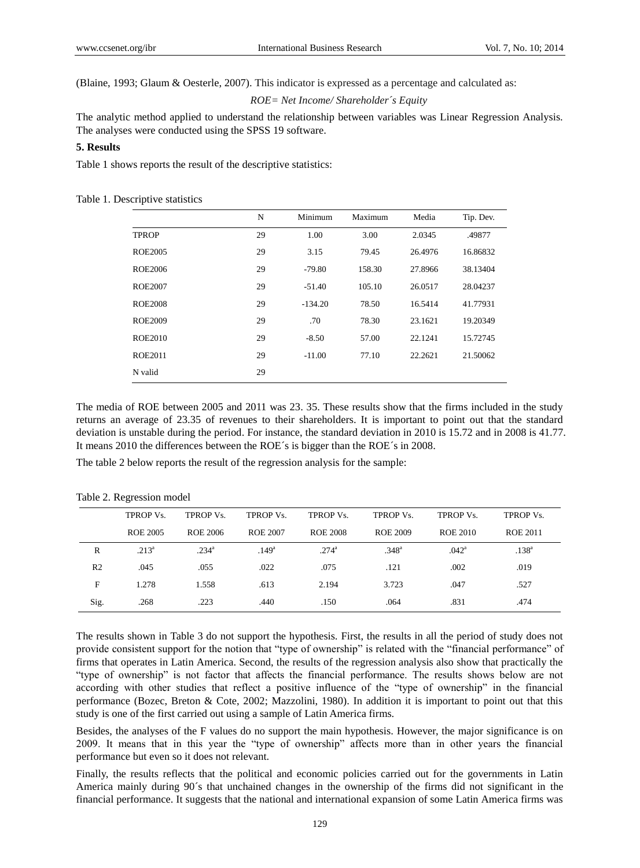(Blaine, 1993; Glaum & Oesterle, 2007). This indicator is expressed as a percentage and calculated as:

*ROE= Net Income/ Shareholder´s Equity*

The analytic method applied to understand the relationship between variables was Linear Regression Analysis. The analyses were conducted using the SPSS 19 software.

# **5. Results**

Table 1 shows reports the result of the descriptive statistics:

Table 1. Descriptive statistics

|                | N  | Minimum   | Maximum | Media   | Tip. Dev. |
|----------------|----|-----------|---------|---------|-----------|
| <b>TPROP</b>   | 29 | 1.00      | 3.00    | 2.0345  | .49877    |
| ROE2005        | 29 | 3.15      | 79.45   | 26.4976 | 16.86832  |
| ROE2006        | 29 | $-79.80$  | 158.30  | 27.8966 | 38.13404  |
| ROE2007        | 29 | $-51.40$  | 105.10  | 26.0517 | 28.04237  |
| ROE2008        | 29 | $-134.20$ | 78.50   | 16.5414 | 41.77931  |
| <b>ROE2009</b> | 29 | .70       | 78.30   | 23.1621 | 19.20349  |
| <b>ROE2010</b> | 29 | $-8.50$   | 57.00   | 22.1241 | 15.72745  |
| ROE2011        | 29 | $-11.00$  | 77.10   | 22.2621 | 21.50062  |
| N valid        | 29 |           |         |         |           |

The media of ROE between 2005 and 2011 was 23. 35. These results show that the firms included in the study returns an average of 23.35 of revenues to their shareholders. It is important to point out that the standard deviation is unstable during the period. For instance, the standard deviation in 2010 is 15.72 and in 2008 is 41.77. It means 2010 the differences between the ROE  $\acute{\text{s}}$  is bigger than the ROE  $\acute{\text{s}}$  in 2008.

The table 2 below reports the result of the regression analysis for the sample:

|                | TPROP Vs. | <b>TPROP Vs.</b>  | TPROP Vs.         | <b>TPROP Vs.</b>  | <b>TPROP Vs.</b>  | <b>TPROP Vs.</b>  | <b>TPROP Vs.</b>  |
|----------------|-----------|-------------------|-------------------|-------------------|-------------------|-------------------|-------------------|
|                | ROE 2005  | ROE 2006          | ROE 2007          | ROE 2008          | ROE 2009          | ROE 2010          | <b>ROE 2011</b>   |
| R              | $.213^a$  | .234 <sup>a</sup> | .149 <sup>a</sup> | .274 <sup>a</sup> | .348 <sup>a</sup> | .042 <sup>a</sup> | .138 <sup>a</sup> |
| R <sub>2</sub> | .045      | .055              | .022              | .075              | .121              | .002              | .019              |
| F              | 1.278     | 1.558             | .613              | 2.194             | 3.723             | .047              | .527              |
| Sig.           | .268      | .223              | .440              | .150              | .064              | .831              | .474              |

Table 2. Regression model

The results shown in Table 3 do not support the hypothesis. First, the results in all the period of study does not provide consistent support for the notion that "type of ownership" is related with the "financial performance" of firms that operates in Latin America. Second, the results of the regression analysis also show that practically the "type of ownership" is not factor that affects the financial performance. The results shows below are not according with other studies that reflect a positive influence of the "type of ownership" in the financial performance (Bozec, Breton & Cote, 2002; Mazzolini, 1980). In addition it is important to point out that this study is one of the first carried out using a sample of Latin America firms.

Besides, the analyses of the F values do no support the main hypothesis. However, the major significance is on 2009. It means that in this year the "type of ownership" affects more than in other years the financial performance but even so it does not relevant.

Finally, the results reflects that the political and economic policies carried out for the governments in Latin America mainly during 90´s that unchained changes in the ownership of the firms did not significant in the financial performance. It suggests that the national and international expansion of some Latin America firms was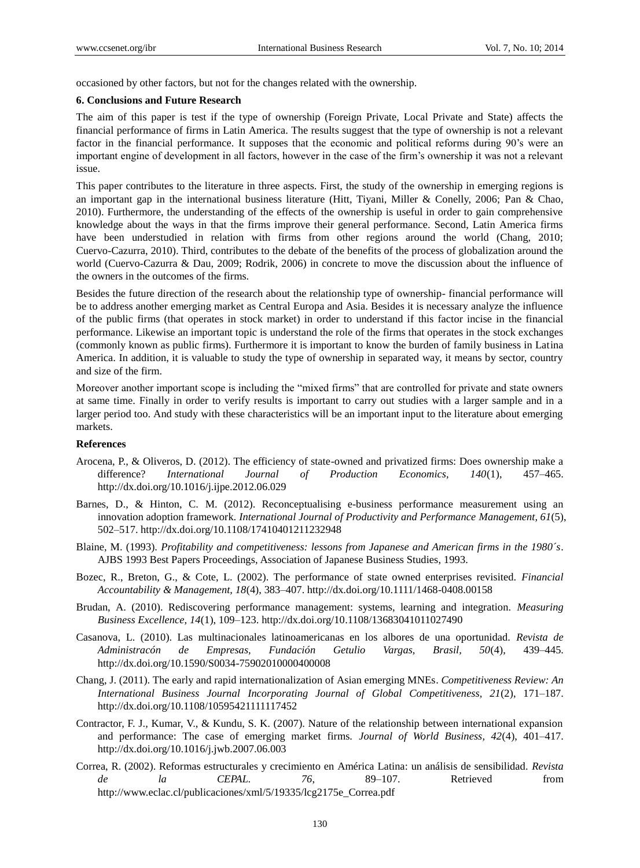occasioned by other factors, but not for the changes related with the ownership.

#### **6. Conclusions and Future Research**

The aim of this paper is test if the type of ownership (Foreign Private, Local Private and State) affects the financial performance of firms in Latin America. The results suggest that the type of ownership is not a relevant factor in the financial performance. It supposes that the economic and political reforms during 90's were an important engine of development in all factors, however in the case of the firm's ownership it was not a relevant issue.

This paper contributes to the literature in three aspects. First, the study of the ownership in emerging regions is an important gap in the international business literature (Hitt, Tiyani, Miller & Conelly, 2006; Pan & Chao, 2010). Furthermore, the understanding of the effects of the ownership is useful in order to gain comprehensive knowledge about the ways in that the firms improve their general performance. Second, Latin America firms have been understudied in relation with firms from other regions around the world (Chang, 2010; Cuervo-Cazurra, 2010). Third, contributes to the debate of the benefits of the process of globalization around the world (Cuervo-Cazurra & Dau, 2009; Rodrik, 2006) in concrete to move the discussion about the influence of the owners in the outcomes of the firms.

Besides the future direction of the research about the relationship type of ownership- financial performance will be to address another emerging market as Central Europa and Asia. Besides it is necessary analyze the influence of the public firms (that operates in stock market) in order to understand if this factor incise in the financial performance. Likewise an important topic is understand the role of the firms that operates in the stock exchanges (commonly known as public firms). Furthermore it is important to know the burden of family business in Latina America. In addition, it is valuable to study the type of ownership in separated way, it means by sector, country and size of the firm.

Moreover another important scope is including the "mixed firms" that are controlled for private and state owners at same time. Finally in order to verify results is important to carry out studies with a larger sample and in a larger period too. And study with these characteristics will be an important input to the literature about emerging markets.

#### **References**

- Arocena, P., & Oliveros, D. (2012). The efficiency of state-owned and privatized firms: Does ownership make a difference? *International Journal of Production Economics, 140*(1), 457–465. http://dx.doi.org/10.1016/j.ijpe.2012.06.029
- Barnes, D., & Hinton, C. M. (2012). Reconceptualising e-business performance measurement using an innovation adoption framework. *International Journal of Productivity and Performance Management, 61*(5), 502–517. http://dx.doi.org/10.1108/17410401211232948
- Blaine, M. (1993). *Profitability and competitiveness: lessons from Japanese and American firms in the 1980´s*. AJBS 1993 Best Papers Proceedings, Association of Japanese Business Studies, 1993.
- Bozec, R., Breton, G., & Cote, L. (2002). The performance of state owned enterprises revisited. *Financial Accountability & Management, 18*(4), 383–407. http://dx.doi.org/10.1111/1468-0408.00158
- Brudan, A. (2010). Rediscovering performance management: systems, learning and integration. *Measuring Business Excellence, 14*(1), 109–123. http://dx.doi.org/10.1108/13683041011027490
- Casanova, L. (2010). Las multinacionales latinoamericanas en los albores de una oportunidad. *Revista de Administracón de Empresas, Fundación Getulio Vargas, Brasil, 50*(4), 439–445. http://dx.doi.org/10.1590/S0034-75902010000400008
- Chang, J. (2011). The early and rapid internationalization of Asian emerging MNEs. *Competitiveness Review: An International Business Journal Incorporating Journal of Global Competitiveness, 21*(2), 171–187. http://dx.doi.org/10.1108/10595421111117452
- Contractor, F. J., Kumar, V., & Kundu, S. K. (2007). Nature of the relationship between international expansion and performance: The case of emerging market firms. *Journal of World Business, 42*(4), 401–417. http://dx.doi.org/10.1016/j.jwb.2007.06.003
- Correa, R. (2002). Reformas estructurales y crecimiento en América Latina: un análisis de sensibilidad. *Revista de la CEPAL. 76*, 89–107. Retrieved from http://www.eclac.cl/publicaciones/xml/5/19335/lcg2175e\_Correa.pdf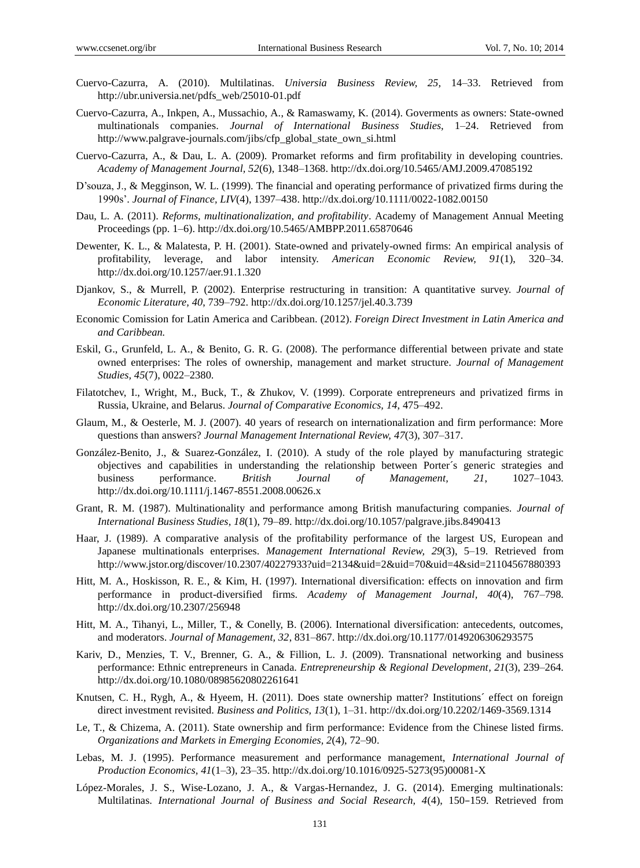- Cuervo-Cazurra, A. (2010). Multilatinas. *Universia Business Review, 25,* 14–33. Retrieved from http://ubr.universia.net/pdfs\_web/25010-01.pdf
- Cuervo-Cazurra, A., Inkpen, A., Mussachio, A., & Ramaswamy, K. (2014). Goverments as owners: State-owned multinationals companies. *Journal of International Business Studies,* 1–24. Retrieved from http://www.palgrave-journals.com/jibs/cfp\_global\_state\_own\_si.html
- Cuervo-Cazurra, A., & Dau, L. A. (2009). Promarket reforms and firm profitability in developing countries. *Academy of Management Journal, 52*(6), 1348–1368. http://dx.doi.org/10.5465/AMJ.2009.47085192
- D'souza, J., & Megginson, W. L. (1999). The financial and operating performance of privatized firms during the 1990s'. *Journal of Finance, LIV*(4), 1397–438. http://dx.doi.org/10.1111/0022-1082.00150
- Dau, L. A. (2011). *Reforms, multinationalization, and profitability*. Academy of Management Annual Meeting Proceedings (pp. 1–6). http://dx.doi.org/10.5465/AMBPP.2011.65870646
- Dewenter, K. L., & Malatesta, P. H. (2001). State-owned and privately-owned firms: An empirical analysis of profitability, leverage, and labor intensity. *American Economic Review, 91*(1), 320–34. http://dx.doi.org/10.1257/aer.91.1.320
- Djankov, S., & Murrell, P. (2002). Enterprise restructuring in transition: A quantitative survey. *Journal of Economic Literature, 40*, 739–792. http://dx.doi.org/10.1257/jel.40.3.739
- Economic Comission for Latin America and Caribbean. (2012). *Foreign Direct Investment in Latin America and and Caribbean.*
- Eskil, G., Grunfeld, L. A., & Benito, G. R. G. (2008). The performance differential between private and state owned enterprises: The roles of ownership, management and market structure. *Journal of Management Studies, 45*(7), 0022–2380.
- Filatotchev, I., Wright, M., Buck, T., & Zhukov, V. (1999). Corporate entrepreneurs and privatized firms in Russia, Ukraine, and Belarus. *Journal of Comparative Economics, 14*, 475–492.
- Glaum, M., & Oesterle, M. J. (2007). 40 years of research on internationalization and firm performance: More questions than answers? *Journal Management International Review, 47*(3), 307–317.
- Gonz ález-Benito, J., & Suarez-Gonz ález, I. (2010). A study of the role played by manufacturing strategic objectives and capabilities in understanding the relationship between Porter´s generic strategies and business performance. *British Journal of Management, 21*, 1027–1043. http://dx.doi.org/10.1111/j.1467-8551.2008.00626.x
- Grant, R. M. (1987). Multinationality and performance among British manufacturing companies. *Journal of International Business Studies, 18*(1), 79–89. http://dx.doi.org/10.1057/palgrave.jibs.8490413
- Haar, J. (1989). A comparative analysis of the profitability performance of the largest US, European and Japanese multinationals enterprises. *Management International Review, 29*(3), 5–19. Retrieved from http://www.jstor.org/discover/10.2307/40227933?uid=2134&uid=2&uid=70&uid=4&sid=21104567880393
- Hitt, M. A., Hoskisson, R. E., & Kim, H. (1997). International diversification: effects on innovation and firm performance in product-diversified firms. *Academy of Management Journal, 40*(4), 767–798. http://dx.doi.org/10.2307/256948
- Hitt, M. A., Tihanyi, L., Miller, T., & Conelly, B. (2006). International diversification: antecedents, outcomes, and moderators. *Journal of Management, 32*, 831–867. http://dx.doi.org/10.1177/0149206306293575
- Kariv, D., Menzies, T. V., Brenner, G. A., & Fillion, L. J. (2009). Transnational networking and business performance: Ethnic entrepreneurs in Canada. *Entrepreneurship & Regional Development, 21*(3), 239–264. http://dx.doi.org/10.1080/08985620802261641
- Knutsen, C. H., Rygh, A., & Hyeem, H. (2011). Does state ownership matter? Institutions´ effect on foreign direct investment revisited. *Business and Politics, 13*(1), 1–31. http://dx.doi.org/10.2202/1469-3569.1314
- Le, T., & Chizema, A. (2011). State ownership and firm performance: Evidence from the Chinese listed firms. *Organizations and Markets in Emerging Economies, 2*(4), 72–90.
- Lebas, M. J. (1995). Performance measurement and performance management, *International Journal of Production Economics, 41*(1–3), 23–35. http://dx.doi.org/10.1016/0925-5273(95)00081-X
- López-Morales, J. S., Wise-Lozano, J. A., & Vargas-Hernandez, J. G. (2014). Emerging multinationals: Multilatinas. *International Journal of Business and Social Research, 4*(4), 150–159. Retrieved from